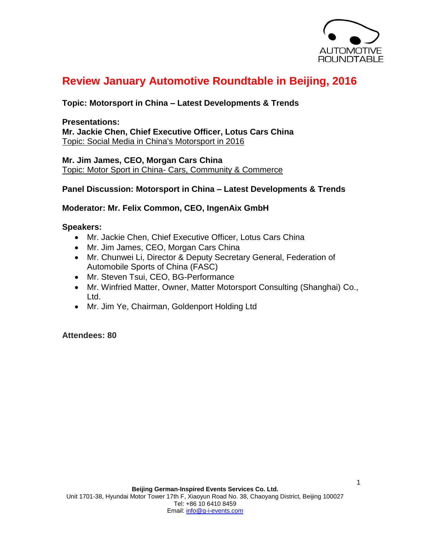

# **Review January Automotive Roundtable in Beijing, 2016**

# **Topic: Motorsport in China – Latest Developments & Trends**

**Presentations: Mr. Jackie Chen, Chief Executive Officer, Lotus Cars China** Topic: Social Media in China's Motorsport in 2016

**Mr. Jim James, CEO, Morgan Cars China** Topic: Motor Sport in China- Cars, Community & Commerce

### **Panel Discussion: Motorsport in China – Latest Developments & Trends**

### **Moderator: Mr. Felix Common, CEO, IngenAix GmbH**

#### **Speakers:**

- Mr. Jackie Chen, Chief Executive Officer, Lotus Cars China
- Mr. Jim James, CEO, Morgan Cars China
- Mr. Chunwei Li, Director & Deputy Secretary General, Federation of Automobile Sports of China (FASC)
- Mr. Steven Tsui, CEO, BG-Performance
- Mr. Winfried Matter, Owner, Matter Motorsport Consulting (Shanghai) Co., Ltd.
- Mr. Jim Ye, Chairman, Goldenport Holding Ltd

**Attendees: 80**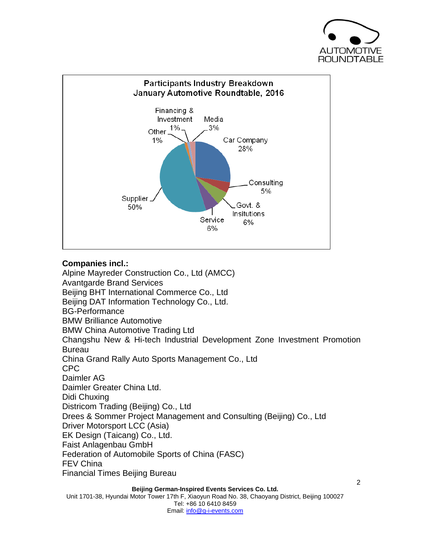



# **Companies incl.:**

Alpine Mayreder Construction Co., Ltd (AMCC) Avantgarde Brand Services Beijing BHT International Commerce Co., Ltd Beijing DAT Information Technology Co., Ltd. BG-Performance BMW Brilliance Automotive BMW China Automotive Trading Ltd Changshu New & Hi-tech Industrial Development Zone Investment Promotion Bureau China Grand Rally Auto Sports Management Co., Ltd CPC Daimler AG Daimler Greater China Ltd. Didi Chuxing Districom Trading (Beijing) Co., Ltd Drees & Sommer Project Management and Consulting (Beijing) Co., Ltd Driver Motorsport LCC (Asia) EK Design (Taicang) Co., Ltd. Faist Anlagenbau GmbH Federation of Automobile Sports of China (FASC) FEV China Financial Times Beijing Bureau

**Beijing German-Inspired Events Services Co. Ltd.** Unit 1701-38, Hyundai Motor Tower 17th F, Xiaoyun Road No. 38, Chaoyang District, Beijing 100027 Tel: +86 10 6410 8459 Email: info@g-i-events.com